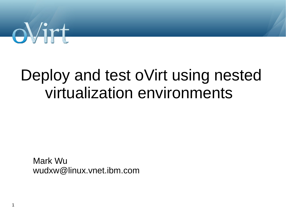

# Deploy and test oVirt using nested virtualization environments

Mark Wu wudxw@linux.vnet.ibm.com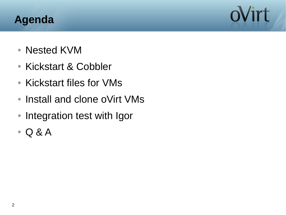#### **Agenda**

ovirt

- Nested KVM
- Kickstart & Cobbler
- Kickstart files for VMs
- Install and clone oVirt VMs
- Integration test with Igor
- $\bullet$  Q & A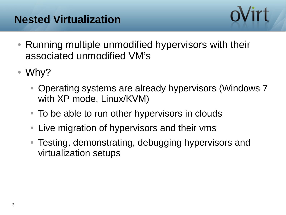#### **Nested Virtualization**



- Running multiple unmodified hypervisors with their associated unmodified VM's
- Why?
	- Operating systems are already hypervisors (Windows 7) with XP mode, Linux/KVM)
	- To be able to run other hypervisors in clouds
	- Live migration of hypervisors and their vms
	- Testing, demonstrating, debugging hypervisors and virtualization setups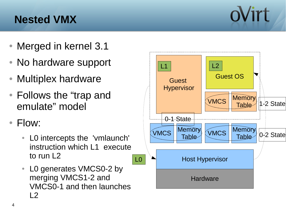#### **Nested VMX**

- Merged in kernel 3.1
- No hardware support
- Multiplex hardware
- Follows the "trap and emulate" model
- Flow:
	- LO intercepts the 'vmlaunch' instruction which L1 execute to run L2
	- L0 generates VMCS0-2 by merging VMCS1-2 and VMCS0-1 and then launches  $\overline{2}$



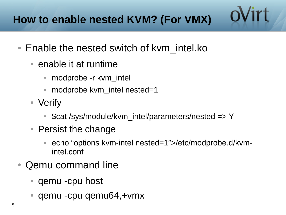- Enable the nested switch of kvm intel.ko
	- $\bullet$  enable it at runtime
		- modprobe -r kvm intel
		- modprobe kvm intel nested=1
	- Verify
		- \$cat /sys/module/kvm\_intel/parameters/nested => Y
	- Persist the change
		- echo "options kvm-intel nested=1">/etc/modprobe.d/kvmintel.conf

ovirt

- Qemu command line
	- qemu -cpu host
	- qemu -cpu qemu64,+vmx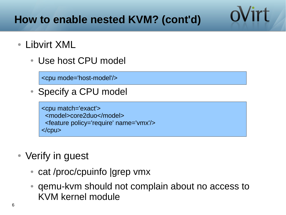## **How to enable nested KVM? (cont'd)**

ovirt

• Libvirt XML

 $\overline{a}$ 

• Use host CPU model

<cpu mode='host-model'/>

• Specify a CPU model

<cpu match='exact'> <model>core2duo</model> <feature policy='require' name='vmx'/>  $<$ / $<$  $p$ u $>$ 

- Verify in guest
	- cat /proc/cpuinfo |grep vmx
	- gemu-kvm should not complain about no access to KVM kernel module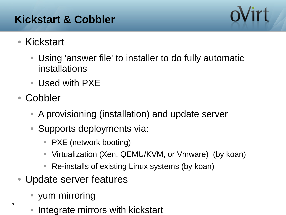#### **Kickstart & Cobbler**



- Kickstart
	- Using 'answer file' to installer to do fully automatic installations
	- Used with PXE
- Cobbler

7

- A provisioning (installation) and update server
- Supports deployments via:
	- PXE (network booting)
	- Virtualization (Xen, QEMU/KVM, or Vmware) (by koan)
	- Re-installs of existing Linux systems (by koan)
- Update server features
	- yum mirroring
	- Integrate mirrors with kickstart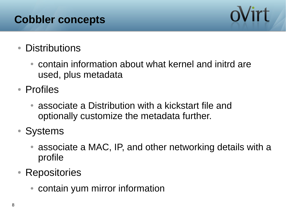#### **Cobbler concepts**



#### • Distributions

- contain information about what kernel and initrd are used, plus metadata
- Profiles
	- associate a Distribution with a kickstart file and optionally customize the metadata further.
- Systems
	- associate a MAC, IP, and other networking details with a profile
- Repositories
	- contain yum mirror information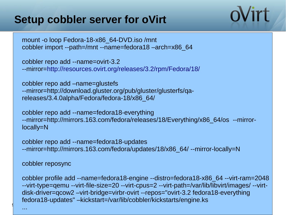#### **Setup cobbler server for oVirt**



mount -o loop Fedora-18-x86\_64-DVD.iso /mnt cobbler import --path=/mnt --name=fedora18 –arch=x86\_64

cobbler repo add --name=ovirt-3.2 --mirror=<http://resources.ovirt.org/releases/3.2/rpm/Fedora/18/>

cobbler repo add –name=glustefs --mirror=http://download.gluster.org/pub/gluster/glusterfs/qareleases/3.4.0alpha/Fedora/fedora-18/x86\_64/

cobbler repo add --name=fedora18-everything --mirror=http://mirrors.163.com/fedora/releases/18/Everything/x86\_64/os --mirrorlocally=N

cobbler repo add --name=fedora18-updates --mirror=http://mirrors.163.com/fedora/updates/18/x86\_64/ --mirror-locally=N

cobbler reposync

cobbler profile add --name=fedora18-engine --distro=fedora18-x86\_64 --virt-ram=2048 --virt-type=qemu --virt-file-size=20 --virt-cpus=2 --virt-path=/var/lib/libvirt/images/ --virtdisk-driver=qcow2 –virt-bridge=virbr-ovirt --repos="ovirt-3.2 fedora18-everything fedora18-updates" –kickstart=/var/lib/cobbler/kickstarts/engine.ks

9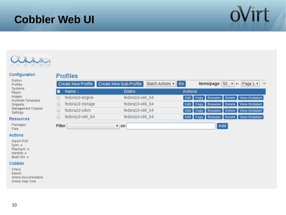#### **Cobbler Web UI**





#### Configuration

Kickstart Templates

Management Classes

Distros Profiles Systems Repos Images

#### **Profiles**

|                           | <b>Create New Profile</b> | Create New Sub-Profile | Batch Actions v Go<br><b>Items/page:</b> 50 $\mathbf{v} \in \mathbf{Page 1 v} \Rightarrow$ |
|---------------------------|---------------------------|------------------------|--------------------------------------------------------------------------------------------|
|                           | Name +                    | <b>Distro</b>          | <b>Actions</b>                                                                             |
|                           | fedora18-engine           | fedora18-x86 64        | <b>Edit Copy Rename Delete View Kickstart</b>                                              |
|                           | fedora18-storage          | fedora18-x86 64        | Edit Copy Rename Delete View Kickstart                                                     |
|                           | fedora18-vdsm             | fedora18-x86 64        | Edit Copy Rename Delete View Kickstart                                                     |
|                           | fedora18-x86 64           | fedora18-x86 64        | Edit Copy Rename Delete View Kickstart                                                     |
| Filter<br>$\mathbf{v}$ on |                           |                        | Add                                                                                        |

Packages Files

Snippets

Settings **Resources** 

#### **Actions**

Import DVD Sync \* Reposync \* Hardlink & Build ISO &

#### Cobbler

Check Events Online Documentation Online Help Chat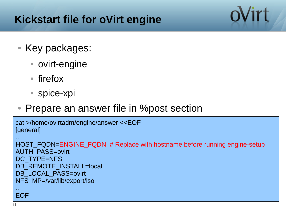#### **Kickstart file for oVirt engine**

- Key packages:
	- ovirt-engine
	- firefox
	- spice-xpi
- Prepare an answer file in % post section

```
cat >/home/ovirtadm/engine/answer <<EOF
[general]
...
HOST_FQDN=ENGINE_FQDN # Replace with hostname before running engine-setup
AUTH_PASS=ovirt
DC_TYPE=NFS
DB_REMOTE_INSTALL=local
DB_LOCAL_PASS=ovirt
NFS_MP=/var/lib/export/iso
...
EOF
```
oVirt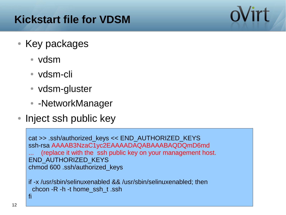#### **Kickstart file for VDSM**

- Key packages
	- vdsm
	- vdsm-cli
	- vdsm-gluster
	- - NetworkManager
- Inject ssh public key

```
cat >> .ssh/authorized_keys << END_AUTHORIZED_KEYS
ssh-rsa AAAAB3NzaC1yc2EAAAADAQABAAABAQDQmD6md
   (replace it with the ssh public key on your management host.
END_AUTHORIZED_KEYS
chmod 600 .ssh/authorized_keys
```
if -x /usr/sbin/selinuxenabled && /usr/sbin/selinuxenabled; then chcon -R -h -t home\_ssh\_t .ssh fi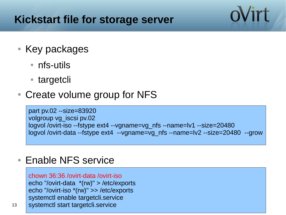#### **Kickstart file for storage server**

- Key packages
	- nfs-utils
	- targetcli
- Create volume group for NFS

part pv.02 --size=83920 volgroup vg\_iscsi pv.02 logvol /ovirt-iso --fstype ext4 --vgname=vg\_nfs --name=lv1 --size=20480 logvol /ovirt-data --fstype ext4 --vgname=vg\_nfs --name=lv2 --size=20480 --grow

#### • Enable NFS service

chown 36:36 /ovirt-data /ovirt-iso echo "/ovirt-data \*(rw)" > /etc/exports echo "/ovirt-iso \*(rw)" >> /etc/exports systemctl enable targetcli.service systemctl start targetcli.service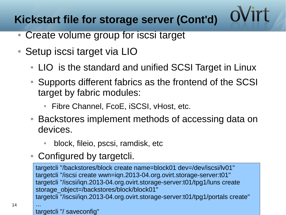## **Kickstart file for storage server (Cont'd)**

- Create volume group for iscsi target
- Setup iscsi target via LIO
	- LIO is the standard and unified SCSI Target in Linux
	- Supports different fabrics as the frontend of the SCSI target by fabric modules:
		- Fibre Channel, FcoE, iSCSI, vHost, etc.
	- Backstores implement methods of accessing data on devices.
		- block, fileio, pscsi, ramdisk, etc
	- Configured by targetcli.

targetcli "/backstores/block create name=block01 dev=/dev/iscsi/lv01" targetcli "/iscsi create wwn=iqn.2013-04.org.ovirt.storage-server:t01" targetcli "/iscsi/iqn.2013-04.org.ovirt.storage-server:t01/tpg1/luns create storage\_object=/backstores/block/block01" targetcli "/iscsi/iqn.2013-04.org.ovirt.storage-server:t01/tpg1/portals create" ...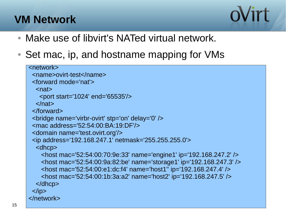#### **VM Network**



- Make use of libvirt's NATed virtual network.
- Set mac, ip, and hostname mapping for VMs

```
<network>
  <name>ovirt-test</name>
  <forward mode='nat'>
  <sub>nat</sub></sub>
    <port start='1024' end='65535'/>
  </nat> </forward>
  <bridge name='virbr-ovirt' stp='on' delay='0' />
  <mac address='52:54:00:BA:19:DF'/>
  <domain name='test.ovirt.org'/>
  <ip address='192.168.247.1' netmask='255.255.255.0'>
  <dhcp>
     <host mac='52:54:00:70:9e:33' name='engine1' ip='192.168.247.2' />
     <host mac='52:54:00:9a:82:be' name='storage1' ip='192.168.247.3' />
     <host mac='52:54:00:e1:dc:f4' name='host1'' ip='192.168.247.4' />
     <host mac='52:54:00:1b:3a:a2' name='host2' ip='192.168.247.5' />
   </dhcp>
 </ip>
</network>
```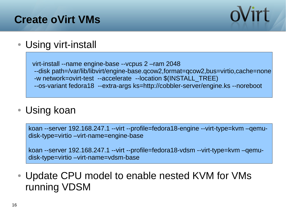#### **Create oVirt VMs**



• Using virt-install

 virt-install --name engine-base --vcpus 2 –ram 2048 --disk path=/var/lib/libvirt/engine-base.qcow2,format=qcow2,bus=virtio,cache=none -w network=ovirt-test --accelerate --location \$(INSTALL\_TREE) --os-variant fedora18 --extra-args ks=http://cobbler-server/engine.ks --noreboot

• Using koan

koan --server 192.168.247.1 --virt --profile=fedora18-engine --virt-type=kvm –qemudisk-type=virtio –virt-name=engine-base

koan --server 192.168.247.1 --virt --profile=fedora18-vdsm --virt-type=kvm –qemudisk-type=virtio –virt-name=vdsm-base

• Update CPU model to enable nested KVM for VMs running VDSM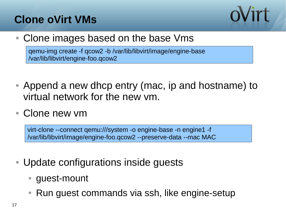### **Clone oVirt VMs**



• Clone images based on the base Vms

qemu-img create -f qcow2 -b /var/lib/libvirt/image/engine-base /var/lib/libvirt/engine-foo.qcow2

- Append a new dhcp entry (mac, ip and hostname) to virtual network for the new vm.
- Clone new ym

virt-clone --connect qemu:///system -o engine-base -n engine1 -f /var/lib/libvirt/image/engine-foo.qcow2 --preserve-data --mac MAC

- Update configurations inside guests
	- guest-mount
	- $\bullet$  Run guest commands via ssh, like engine-setup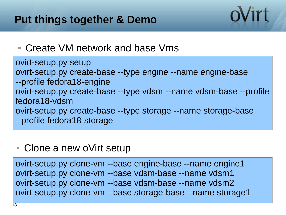#### **Put things together & Demo**

#### • Create VM network and base Vms

ovirt-setup.py setup ovirt-setup.py create-base --type engine --name engine-base --profile fedora18-engine ovirt-setup.py create-base --type vdsm --name vdsm-base --profile fedora18-vdsm ovirt-setup.py create-base --type storage --name storage-base --profile fedora18-storage

oVirt

#### • Clone a new oVirt setup

ovirt-setup.py clone-vm --base engine-base --name engine1 ovirt-setup.py clone-vm --base vdsm-base --name vdsm1 ovirt-setup.py clone-vm --base vdsm-base --name vdsm2 ovirt-setup.py clone-vm --base storage-base --name storage1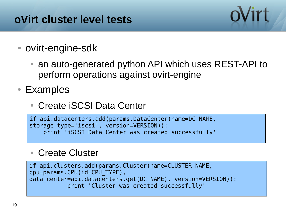### **oVirt cluster level tests**

- ovirt-engine-sdk
	- an auto-generated python API which uses REST-API to perform operations against ovirt-engine

ovirt

- Examples
	- Create iSCSI Data Center

```
if api.datacenters.add(params.DataCenter(name=DC_NAME, 
storage type='iscsi', version=VERSION)):
     print 'iSCSI Data Center was created successfully'
```
#### • Create Cluster

```
if api.clusters.add(params.Cluster(name=CLUSTER_NAME, 
cpu=params.CPU(id=CPU_TYPE), 
data_center=api.datacenters.get(DC_NAME), version=VERSION)):
            print 'Cluster was created successfully'
```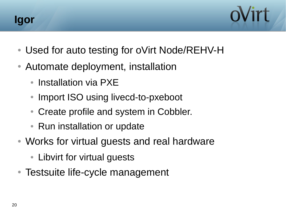



- Used for auto testing for oVirt Node/REHV-H
- Automate deployment, installation
	- Installation via PXE
	- Import ISO using livecd-to-pxeboot
	- Create profile and system in Cobbler.
	- Run installation or update
- Works for virtual guests and real hardware
	- Libvirt for virtual guests
- Testsuite life-cycle management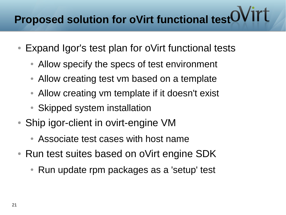# **Proposed solution for oVirt functional test**

- Expand Igor's test plan for oVirt functional tests
	- Allow specify the specs of test environment
	- Allow creating test vm based on a template
	- Allow creating vm template if it doesn't exist
	- Skipped system installation
- Ship igor-client in ovirt-engine VM
	- Associate test cases with host name
- Run test suites based on oVirt engine SDK
	- Run update rpm packages as a 'setup' test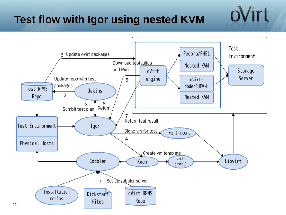## **Test flow with Igor using nested KVM**



ovirt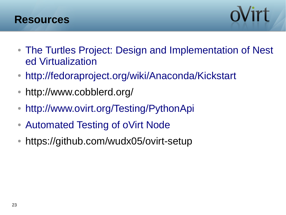



- [The Turtles Project: Design and Implementation of Nest](http://static.usenix.org/events/osdi10/tech/full_papers/Ben-Yehuda.pdf) [ed Virtualization](http://static.usenix.org/events/osdi10/tech/full_papers/Ben-Yehuda.pdf)
- <http://fedoraproject.org/wiki/Anaconda/Kickstart>
- http://www.cobblerd.org/
- <http://www.ovirt.org/Testing/PythonApi>
- [Automated Testing of oVirt Node](http://www.ovirt.org/images/5/50/Deutsch-node-test-automation.pdf)
- https://github.com/wudx05/ovirt-setup